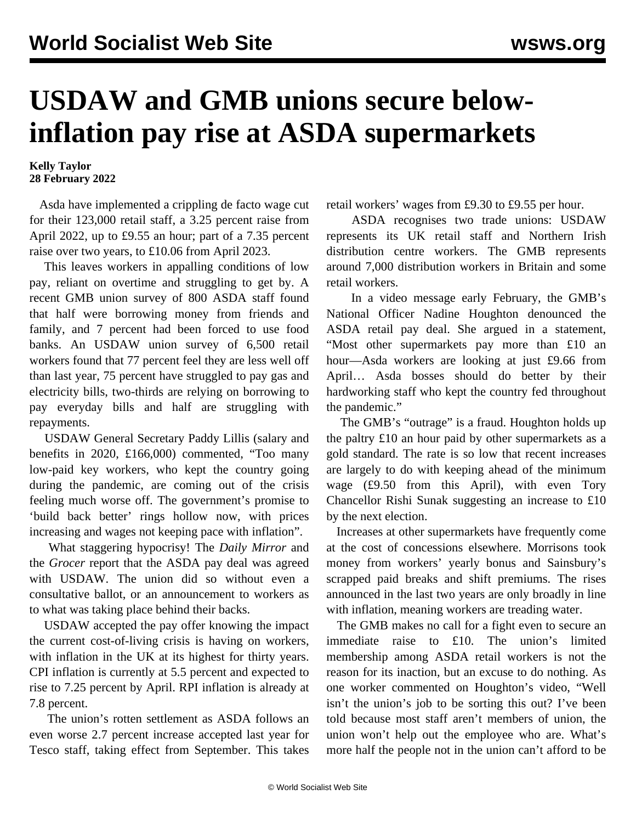## **USDAW and GMB unions secure belowinflation pay rise at ASDA supermarkets**

## **Kelly Taylor 28 February 2022**

 Asda have implemented a crippling de facto wage cut for their 123,000 retail staff, a 3.25 percent raise from April 2022, up to £9.55 an hour; part of a 7.35 percent raise over two years, to £10.06 from April 2023.

 This leaves workers in appalling conditions of low pay, reliant on overtime and struggling to get by. A recent GMB union survey of 800 ASDA staff found that half were borrowing money from friends and family, and 7 percent had been forced to use food banks. An USDAW union survey of 6,500 retail workers found that 77 percent feel they are less well off than last year, 75 percent have struggled to pay gas and electricity bills, two-thirds are relying on borrowing to pay everyday bills and half are struggling with repayments.

 USDAW General Secretary Paddy Lillis (salary and benefits in 2020, £166,000) commented, "Too many low-paid key workers, who kept the country going during the pandemic, are coming out of the crisis feeling much worse off. The government's promise to 'build back better' rings hollow now, with prices increasing and wages not keeping pace with inflation".

 What staggering hypocrisy! The *Daily Mirror* and the *Grocer* report that the ASDA pay deal was agreed with USDAW. The union did so without even a consultative ballot, or an announcement to workers as to what was taking place behind their backs.

 USDAW accepted the pay offer knowing the impact the current cost-of-living crisis is having on workers, with inflation in the UK at its highest for thirty years. CPI inflation is currently at 5.5 percent and expected to rise to 7.25 percent by April. RPI inflation is already at 7.8 percent.

 The union's rotten settlement as ASDA follows an even worse 2.7 percent increase accepted last year for Tesco staff, taking effect from September. This takes retail workers' wages from £9.30 to £9.55 per hour.

 ASDA recognises two trade unions: USDAW represents its UK retail staff and Northern Irish distribution centre workers. The GMB represents around 7,000 distribution workers in Britain and some retail workers.

 In a video message early February, the GMB's National Officer Nadine Houghton denounced the ASDA retail pay deal. She argued in a statement, "Most other supermarkets pay more than £10 an hour—Asda workers are looking at just £9.66 from April… Asda bosses should do better by their hardworking staff who kept the country fed throughout the pandemic."

The GMB's "outrage" is a fraud. Houghton holds up the paltry £10 an hour paid by other supermarkets as a gold standard. The rate is so low that recent increases are largely to do with keeping ahead of the minimum wage (£9.50 from this April), with even Tory Chancellor Rishi Sunak suggesting an increase to £10 by the next election.

 Increases at other supermarkets have frequently come at the cost of concessions elsewhere. Morrisons took money from workers' yearly bonus and Sainsbury's scrapped paid breaks and shift premiums. The rises announced in the last two years are only broadly in line with inflation, meaning workers are treading water.

 The GMB makes no call for a fight even to secure an immediate raise to £10. The union's limited membership among ASDA retail workers is not the reason for its inaction, but an excuse to do nothing. As one worker commented on Houghton's video, "Well isn't the union's job to be sorting this out? I've been told because most staff aren't members of union, the union won't help out the employee who are. What's more half the people not in the union can't afford to be